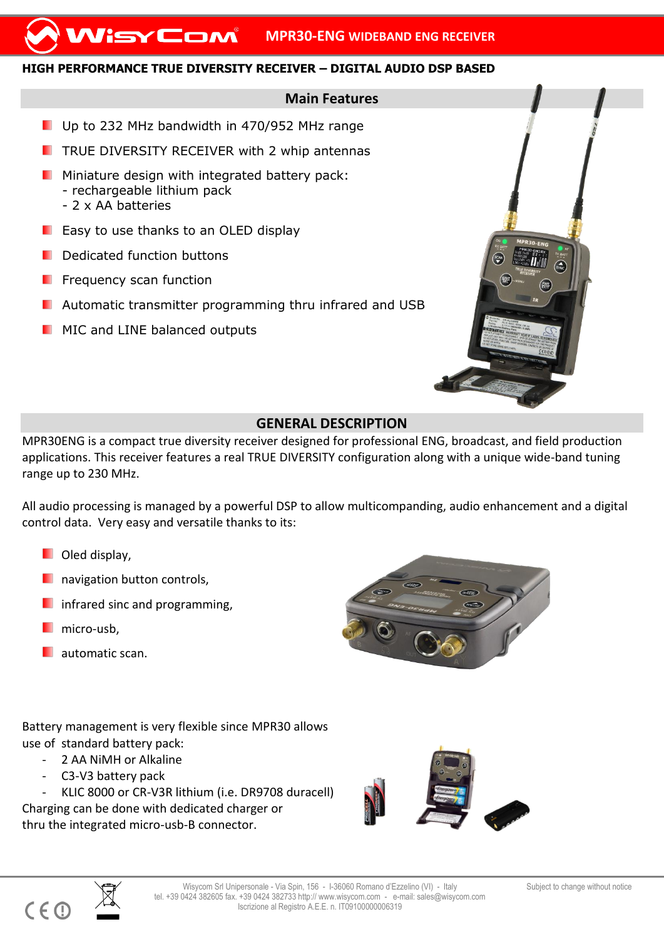## **HIGH PERFORMANCE TRUE DIVERSITY RECEIVER – DIGITAL AUDIO DSP BASED**

## **Main Features**

- Up to 232 MHz bandwidth in 470/952 MHz range
- $\blacksquare$  TRUE DIVERSITY RECEIVER with 2 whip antennas
- $\blacksquare$  Miniature design with integrated battery pack: - rechargeable lithium pack - 2 x AA batteries
- **E** Easy to use thanks to an OLED display
- Dedicated function buttons
- Frequency scan function
- Automatic transmitter programming thru infrared and USB
- **MIC and LINE balanced outputs**



## **GENERAL DESCRIPTION**

MPR30ENG is a compact true diversity receiver designed for professional ENG, broadcast, and field production applications. This receiver features a real TRUE DIVERSITY configuration along with a unique wide-band tuning range up to 230 MHz.

All audio processing is managed by a powerful DSP to allow multicompanding, audio enhancement and a digital control data. Very easy and versatile thanks to its:

- **D** Oled display,
- **navigation button controls,**
- infrared sinc and programming,
- micro-usb,
- **automatic scan.**

Battery management is very flexible since MPR30 allows use of standard battery pack:

- 2 AA NiMH or Alkaline
- C3-V3 battery pack

- KLIC 8000 or CR-V3R lithium (i.e. DR9708 duracell) Charging can be done with dedicated charger or thru the integrated micro-usb-B connector.





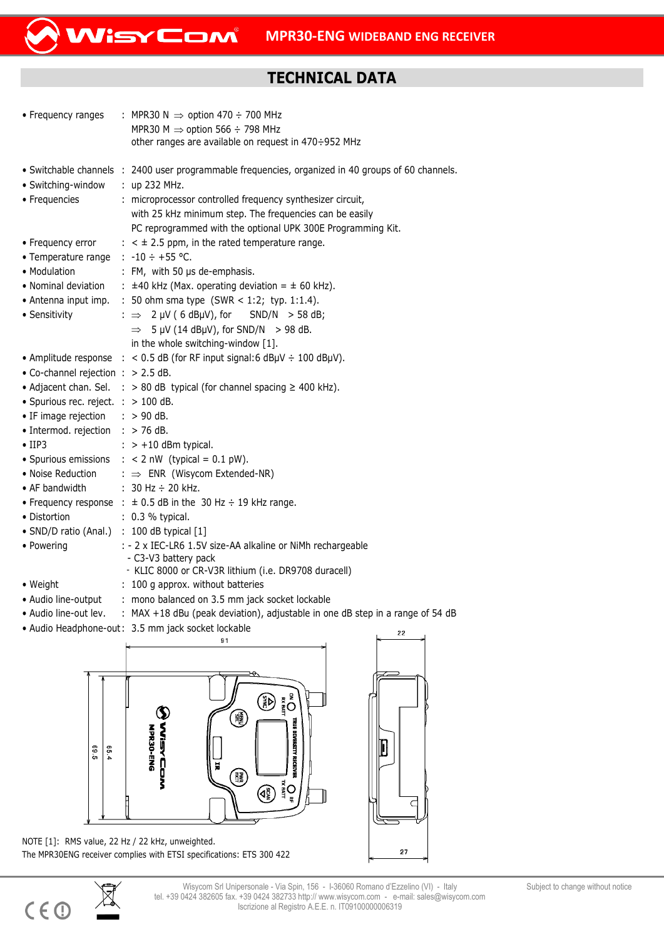## **TECHNICAL DATA**

| • Frequency ranges                                                                                                                                                                                                                                                            | : MPR30 N $\Rightarrow$ option 470 ÷ 700 MHz<br>MPR30 M $\Rightarrow$ option 566 ÷ 798 MHz<br>other ranges are available on request in 470÷952 MHz                                                                                                                                                                                                                                                                                                                                                                                                                                                                          |
|-------------------------------------------------------------------------------------------------------------------------------------------------------------------------------------------------------------------------------------------------------------------------------|-----------------------------------------------------------------------------------------------------------------------------------------------------------------------------------------------------------------------------------------------------------------------------------------------------------------------------------------------------------------------------------------------------------------------------------------------------------------------------------------------------------------------------------------------------------------------------------------------------------------------------|
| • Switching-window<br>• Frequencies                                                                                                                                                                                                                                           | · Switchable channels : 2400 user programmable frequencies, organized in 40 groups of 60 channels.<br>$:$ up 232 MHz.<br>: microprocessor controlled frequency synthesizer circuit,<br>with 25 kHz minimum step. The frequencies can be easily<br>PC reprogrammed with the optional UPK 300E Programming Kit.                                                                                                                                                                                                                                                                                                               |
| • Frequency error<br>• Temperature range<br>• Modulation<br>• Nominal deviation<br>• Antenna input imp.<br>• Sensitivity                                                                                                                                                      | $\pm$ < $\pm$ 2.5 ppm, in the rated temperature range.<br>: $-10 \div +55$ °C.<br>: FM, with 50 us de-emphasis.<br>: $\pm$ 40 kHz (Max. operating deviation = $\pm$ 60 kHz).<br>: 50 ohm sma type (SWR < 1:2; typ. 1:1.4).<br>$2 \mu V$ (6 dB $\mu$ V), for<br>SND/N > 58 dB;<br>: $\Rightarrow$<br>$5 \mu V$ (14 dB $\mu$ V), for SND/N > 98 dB.<br>$\Rightarrow$<br>in the whole switching-window [1].                                                                                                                                                                                                                    |
| • Co-channel rejection : > 2.5 dB.<br>• Spurious rec. reject. $\therefore$ > 100 dB.<br>• IF image rejection<br>· Intermod. rejection<br>$\bullet$ IIP3<br>· Spurious emissions<br>• Noise Reduction<br>• AF bandwidth<br>• Distortion<br>• SND/D ratio (Anal.)<br>• Powering | • Amplitude response $\therefore$ < 0.5 dB (for RF input signal: 6 dBµV $\div$ 100 dBµV).<br>• Adjacent chan. Sel. : > 80 dB typical (for channel spacing $\geq$ 400 kHz).<br>$:$ > 90 dB.<br>$:$ > 76 dB.<br>$\therefore$ > +10 dBm typical.<br>: $< 2$ nW (typical = 0.1 pW).<br>: $\Rightarrow$ ENR (Wisycom Extended-NR)<br>: $30$ Hz $\div$ 20 kHz.<br>• Frequency response : $\pm$ 0.5 dB in the 30 Hz $\div$ 19 kHz range.<br>: 0.3 % typical.<br>: 100 dB typical [1]<br>: - 2 x IEC-LR6 1.5V size-AA alkaline or NiMh rechargeable<br>- C3-V3 battery pack<br>- KLIC 8000 or CR-V3R lithium (i.e. DR9708 duracell) |
| • Weight<br>• Audio line-output<br>• Audio line-out lev.                                                                                                                                                                                                                      | : 100 g approx. without batteries<br>: mono balanced on 3.5 mm jack socket lockable<br>: MAX +18 dBu (peak deviation), adjustable in one dB step in a range of 54 dB<br>• Audio Headphone-out: 3.5 mm jack socket lockable<br>22                                                                                                                                                                                                                                                                                                                                                                                            |
|                                                                                                                                                                                                                                                                               |                                                                                                                                                                                                                                                                                                                                                                                                                                                                                                                                                                                                                             |

WisyCom



NOTE [1]: RMS value, 22 Hz / 22 kHz, unweighted. The MPR30ENG receiver complies with ETSI specifications: ETS 300 422



 $\subset$ 

 $\overline{27}$